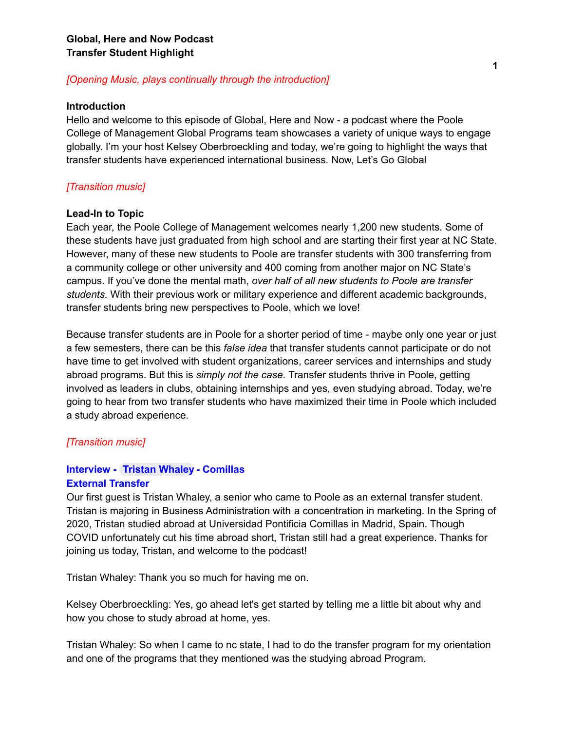#### *[Opening Music, plays continually through the introduction]*

#### **Introduction**

Hello and welcome to this episode of Global, Here and Now - a podcast where the Poole College of Management Global Programs team showcases a variety of unique ways to engage globally. I'm your host Kelsey Oberbroeckling and today, we're going to highlight the ways that transfer students have experienced international business. Now, Let's Go Global

# *[Transition music]*

#### **Lead-In to Topic**

Each year, the Poole College of Management welcomes nearly 1,200 new students. Some of these students have just graduated from high school and are starting their first year at NC State. However, many of these new students to Poole are transfer students with 300 transferring from a community college or other university and 400 coming from another major on NC State's campus. If you've done the mental math, *over half of all new students to Poole are transfer students.* With their previous work or military experience and different academic backgrounds, transfer students bring new perspectives to Poole, which we love!

Because transfer students are in Poole for a shorter period of time - maybe only one year or just a few semesters, there can be this *false idea* that transfer students cannot participate or do not have time to get involved with student organizations, career services and internships and study abroad programs. But this is *simply not the case*. Transfer students thrive in Poole, getting involved as leaders in clubs, obtaining internships and yes, even studying abroad. Today, we're going to hear from two transfer students who have maximized their time in Poole which included a study abroad experience.

#### *[Transition music]*

#### **Interview - Tristan [Whaley](mailto:tewhaley@ncsu.edu) - Comillas External Transfer**

Our first guest is Tristan Whaley, a senior who came to Poole as an external transfer student. Tristan is majoring in Business Administration with a concentration in marketing. In the Spring of 2020, Tristan studied abroad at Universidad Pontificia Comillas in Madrid, Spain. Though COVID unfortunately cut his time abroad short, Tristan still had a great experience. Thanks for joining us today, Tristan, and welcome to the podcast!

Tristan Whaley: Thank you so much for having me on.

Kelsey Oberbroeckling: Yes, go ahead let's get started by telling me a little bit about why and how you chose to study abroad at home, yes.

Tristan Whaley: So when I came to nc state, I had to do the transfer program for my orientation and one of the programs that they mentioned was the studying abroad Program.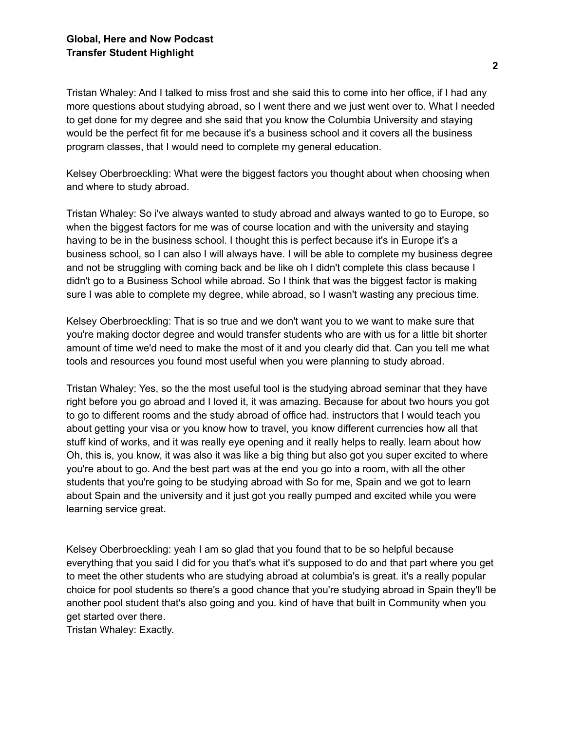Tristan Whaley: And I talked to miss frost and she said this to come into her office, if I had any more questions about studying abroad, so I went there and we just went over to. What I needed to get done for my degree and she said that you know the Columbia University and staying would be the perfect fit for me because it's a business school and it covers all the business program classes, that I would need to complete my general education.

Kelsey Oberbroeckling: What were the biggest factors you thought about when choosing when and where to study abroad.

Tristan Whaley: So i've always wanted to study abroad and always wanted to go to Europe, so when the biggest factors for me was of course location and with the university and staying having to be in the business school. I thought this is perfect because it's in Europe it's a business school, so I can also I will always have. I will be able to complete my business degree and not be struggling with coming back and be like oh I didn't complete this class because I didn't go to a Business School while abroad. So I think that was the biggest factor is making sure I was able to complete my degree, while abroad, so I wasn't wasting any precious time.

Kelsey Oberbroeckling: That is so true and we don't want you to we want to make sure that you're making doctor degree and would transfer students who are with us for a little bit shorter amount of time we'd need to make the most of it and you clearly did that. Can you tell me what tools and resources you found most useful when you were planning to study abroad.

Tristan Whaley: Yes, so the the most useful tool is the studying abroad seminar that they have right before you go abroad and I loved it, it was amazing. Because for about two hours you got to go to different rooms and the study abroad of office had. instructors that I would teach you about getting your visa or you know how to travel, you know different currencies how all that stuff kind of works, and it was really eye opening and it really helps to really. learn about how Oh, this is, you know, it was also it was like a big thing but also got you super excited to where you're about to go. And the best part was at the end you go into a room, with all the other students that you're going to be studying abroad with So for me, Spain and we got to learn about Spain and the university and it just got you really pumped and excited while you were learning service great.

Kelsey Oberbroeckling: yeah I am so glad that you found that to be so helpful because everything that you said I did for you that's what it's supposed to do and that part where you get to meet the other students who are studying abroad at columbia's is great. it's a really popular choice for pool students so there's a good chance that you're studying abroad in Spain they'll be another pool student that's also going and you. kind of have that built in Community when you get started over there.

Tristan Whaley: Exactly.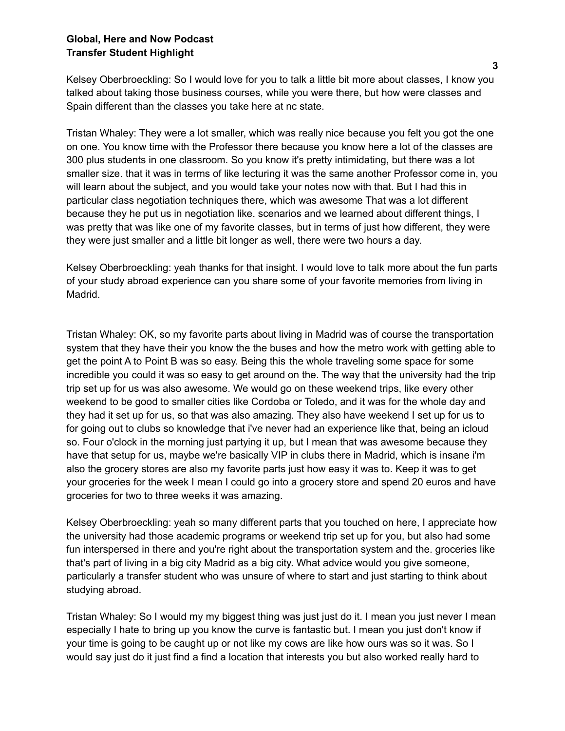Kelsey Oberbroeckling: So I would love for you to talk a little bit more about classes, I know you talked about taking those business courses, while you were there, but how were classes and Spain different than the classes you take here at nc state.

Tristan Whaley: They were a lot smaller, which was really nice because you felt you got the one on one. You know time with the Professor there because you know here a lot of the classes are 300 plus students in one classroom. So you know it's pretty intimidating, but there was a lot smaller size. that it was in terms of like lecturing it was the same another Professor come in, you will learn about the subject, and you would take your notes now with that. But I had this in particular class negotiation techniques there, which was awesome That was a lot different because they he put us in negotiation like. scenarios and we learned about different things, I was pretty that was like one of my favorite classes, but in terms of just how different, they were they were just smaller and a little bit longer as well, there were two hours a day.

Kelsey Oberbroeckling: yeah thanks for that insight. I would love to talk more about the fun parts of your study abroad experience can you share some of your favorite memories from living in Madrid.

Tristan Whaley: OK, so my favorite parts about living in Madrid was of course the transportation system that they have their you know the the buses and how the metro work with getting able to get the point A to Point B was so easy. Being this the whole traveling some space for some incredible you could it was so easy to get around on the. The way that the university had the trip trip set up for us was also awesome. We would go on these weekend trips, like every other weekend to be good to smaller cities like Cordoba or Toledo, and it was for the whole day and they had it set up for us, so that was also amazing. They also have weekend I set up for us to for going out to clubs so knowledge that i've never had an experience like that, being an icloud so. Four o'clock in the morning just partying it up, but I mean that was awesome because they have that setup for us, maybe we're basically VIP in clubs there in Madrid, which is insane i'm also the grocery stores are also my favorite parts just how easy it was to. Keep it was to get your groceries for the week I mean I could go into a grocery store and spend 20 euros and have groceries for two to three weeks it was amazing.

Kelsey Oberbroeckling: yeah so many different parts that you touched on here, I appreciate how the university had those academic programs or weekend trip set up for you, but also had some fun interspersed in there and you're right about the transportation system and the. groceries like that's part of living in a big city Madrid as a big city. What advice would you give someone, particularly a transfer student who was unsure of where to start and just starting to think about studying abroad.

Tristan Whaley: So I would my my biggest thing was just just do it. I mean you just never I mean especially I hate to bring up you know the curve is fantastic but. I mean you just don't know if your time is going to be caught up or not like my cows are like how ours was so it was. So I would say just do it just find a find a location that interests you but also worked really hard to

**3**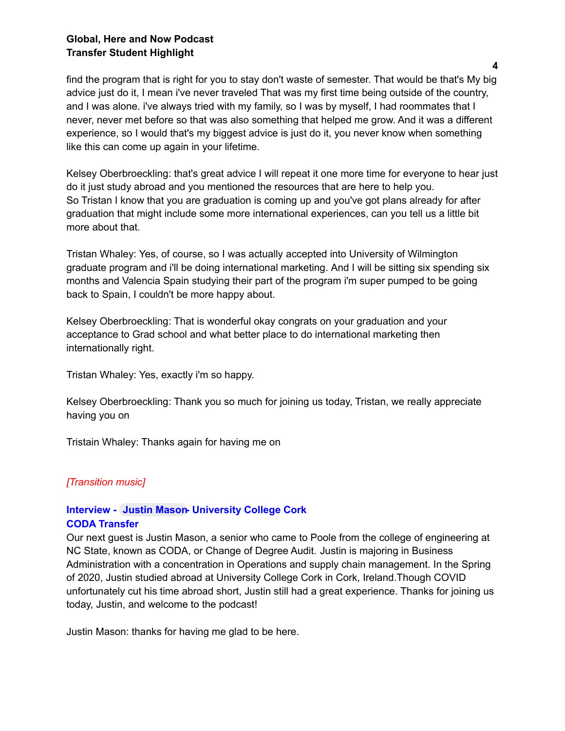find the program that is right for you to stay don't waste of semester. That would be that's My big advice just do it, I mean i've never traveled That was my first time being outside of the country, and I was alone. i've always tried with my family, so I was by myself, I had roommates that I never, never met before so that was also something that helped me grow. And it was a different experience, so I would that's my biggest advice is just do it, you never know when something like this can come up again in your lifetime.

Kelsey Oberbroeckling: that's great advice I will repeat it one more time for everyone to hear just do it just study abroad and you mentioned the resources that are here to help you. So Tristan I know that you are graduation is coming up and you've got plans already for after graduation that might include some more international experiences, can you tell us a little bit more about that.

Tristan Whaley: Yes, of course, so I was actually accepted into University of Wilmington graduate program and i'll be doing international marketing. And I will be sitting six spending six months and Valencia Spain studying their part of the program i'm super pumped to be going back to Spain, I couldn't be more happy about.

Kelsey Oberbroeckling: That is wonderful okay congrats on your graduation and your acceptance to Grad school and what better place to do international marketing then internationally right.

Tristan Whaley: Yes, exactly i'm so happy.

Kelsey Oberbroeckling: Thank you so much for joining us today, Tristan, we really appreciate having you on

Tristain Whaley: Thanks again for having me on

# *[Transition music]*

# **Interview - Justin [Mason-](mailto:jlmason5@ncsu.edu) University College Cork CODA Transfer**

Our next guest is Justin Mason, a senior who came to Poole from the college of engineering at NC State, known as CODA, or Change of Degree Audit. Justin is majoring in Business Administration with a concentration in Operations and supply chain management. In the Spring of 2020, Justin studied abroad at University College Cork in Cork, Ireland.Though COVID unfortunately cut his time abroad short, Justin still had a great experience. Thanks for joining us today, Justin, and welcome to the podcast!

Justin Mason: thanks for having me glad to be here.

**4**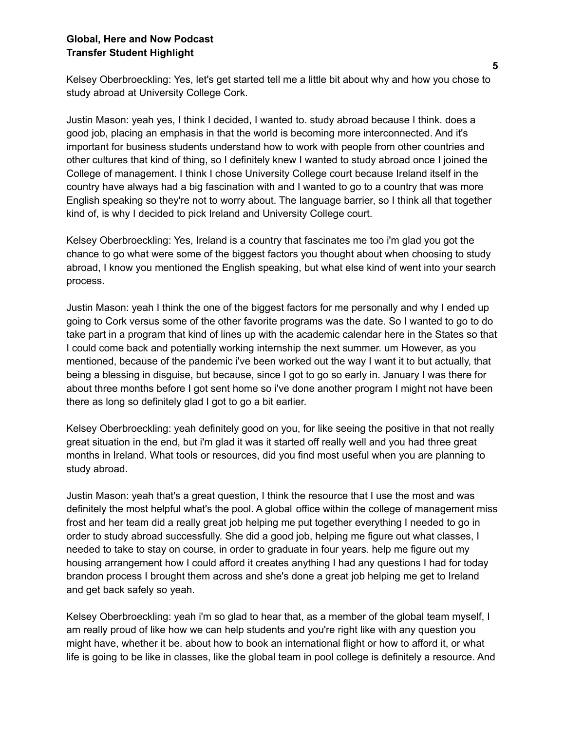Kelsey Oberbroeckling: Yes, let's get started tell me a little bit about why and how you chose to study abroad at University College Cork.

Justin Mason: yeah yes, I think I decided, I wanted to. study abroad because I think. does a good job, placing an emphasis in that the world is becoming more interconnected. And it's important for business students understand how to work with people from other countries and other cultures that kind of thing, so I definitely knew I wanted to study abroad once I joined the College of management. I think I chose University College court because Ireland itself in the country have always had a big fascination with and I wanted to go to a country that was more English speaking so they're not to worry about. The language barrier, so I think all that together kind of, is why I decided to pick Ireland and University College court.

Kelsey Oberbroeckling: Yes, Ireland is a country that fascinates me too i'm glad you got the chance to go what were some of the biggest factors you thought about when choosing to study abroad, I know you mentioned the English speaking, but what else kind of went into your search process.

Justin Mason: yeah I think the one of the biggest factors for me personally and why I ended up going to Cork versus some of the other favorite programs was the date. So I wanted to go to do take part in a program that kind of lines up with the academic calendar here in the States so that I could come back and potentially working internship the next summer. um However, as you mentioned, because of the pandemic i've been worked out the way I want it to but actually, that being a blessing in disguise, but because, since I got to go so early in. January I was there for about three months before I got sent home so i've done another program I might not have been there as long so definitely glad I got to go a bit earlier.

Kelsey Oberbroeckling: yeah definitely good on you, for like seeing the positive in that not really great situation in the end, but i'm glad it was it started off really well and you had three great months in Ireland. What tools or resources, did you find most useful when you are planning to study abroad.

Justin Mason: yeah that's a great question, I think the resource that I use the most and was definitely the most helpful what's the pool. A global office within the college of management miss frost and her team did a really great job helping me put together everything I needed to go in order to study abroad successfully. She did a good job, helping me figure out what classes, I needed to take to stay on course, in order to graduate in four years. help me figure out my housing arrangement how I could afford it creates anything I had any questions I had for today brandon process I brought them across and she's done a great job helping me get to Ireland and get back safely so yeah.

Kelsey Oberbroeckling: yeah i'm so glad to hear that, as a member of the global team myself, I am really proud of like how we can help students and you're right like with any question you might have, whether it be. about how to book an international flight or how to afford it, or what life is going to be like in classes, like the global team in pool college is definitely a resource. And

**5**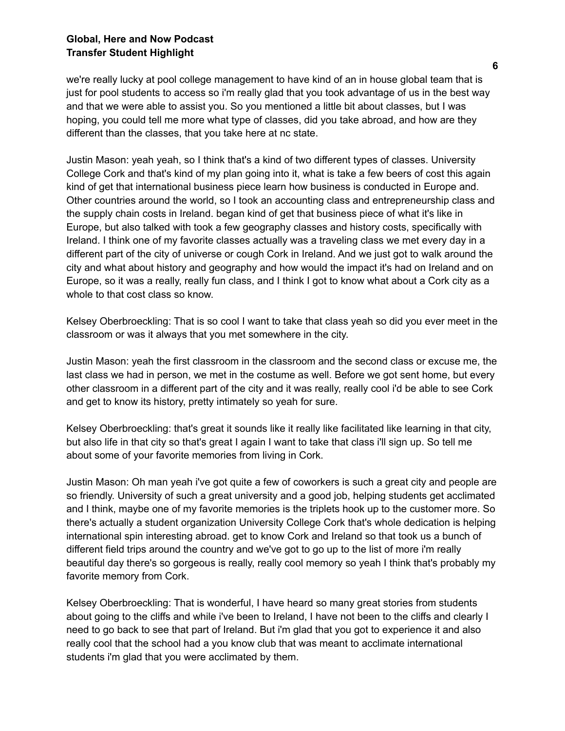we're really lucky at pool college management to have kind of an in house global team that is just for pool students to access so i'm really glad that you took advantage of us in the best way and that we were able to assist you. So you mentioned a little bit about classes, but I was hoping, you could tell me more what type of classes, did you take abroad, and how are they different than the classes, that you take here at nc state.

Justin Mason: yeah yeah, so I think that's a kind of two different types of classes. University College Cork and that's kind of my plan going into it, what is take a few beers of cost this again kind of get that international business piece learn how business is conducted in Europe and. Other countries around the world, so I took an accounting class and entrepreneurship class and the supply chain costs in Ireland. began kind of get that business piece of what it's like in Europe, but also talked with took a few geography classes and history costs, specifically with Ireland. I think one of my favorite classes actually was a traveling class we met every day in a different part of the city of universe or cough Cork in Ireland. And we just got to walk around the city and what about history and geography and how would the impact it's had on Ireland and on Europe, so it was a really, really fun class, and I think I got to know what about a Cork city as a whole to that cost class so know.

Kelsey Oberbroeckling: That is so cool I want to take that class yeah so did you ever meet in the classroom or was it always that you met somewhere in the city.

Justin Mason: yeah the first classroom in the classroom and the second class or excuse me, the last class we had in person, we met in the costume as well. Before we got sent home, but every other classroom in a different part of the city and it was really, really cool i'd be able to see Cork and get to know its history, pretty intimately so yeah for sure.

Kelsey Oberbroeckling: that's great it sounds like it really like facilitated like learning in that city, but also life in that city so that's great I again I want to take that class i'll sign up. So tell me about some of your favorite memories from living in Cork.

Justin Mason: Oh man yeah i've got quite a few of coworkers is such a great city and people are so friendly. University of such a great university and a good job, helping students get acclimated and I think, maybe one of my favorite memories is the triplets hook up to the customer more. So there's actually a student organization University College Cork that's whole dedication is helping international spin interesting abroad. get to know Cork and Ireland so that took us a bunch of different field trips around the country and we've got to go up to the list of more i'm really beautiful day there's so gorgeous is really, really cool memory so yeah I think that's probably my favorite memory from Cork.

Kelsey Oberbroeckling: That is wonderful, I have heard so many great stories from students about going to the cliffs and while i've been to Ireland, I have not been to the cliffs and clearly I need to go back to see that part of Ireland. But i'm glad that you got to experience it and also really cool that the school had a you know club that was meant to acclimate international students i'm glad that you were acclimated by them.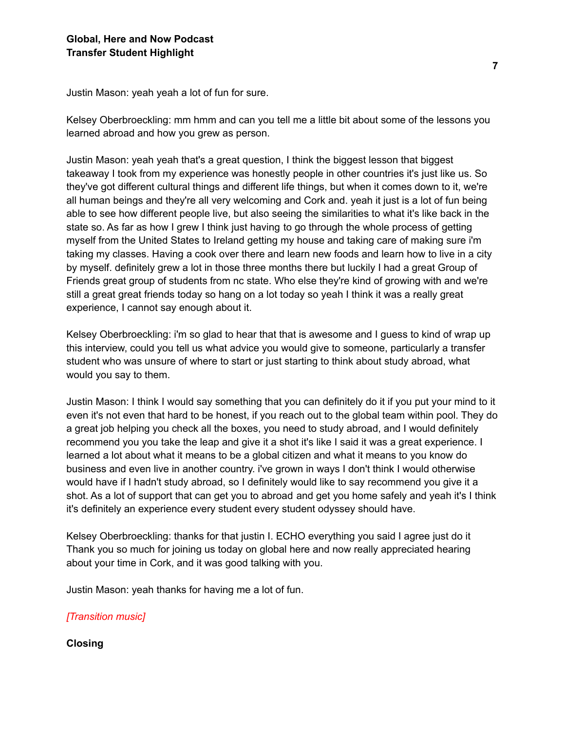Justin Mason: yeah yeah a lot of fun for sure.

Kelsey Oberbroeckling: mm hmm and can you tell me a little bit about some of the lessons you learned abroad and how you grew as person.

Justin Mason: yeah yeah that's a great question, I think the biggest lesson that biggest takeaway I took from my experience was honestly people in other countries it's just like us. So they've got different cultural things and different life things, but when it comes down to it, we're all human beings and they're all very welcoming and Cork and. yeah it just is a lot of fun being able to see how different people live, but also seeing the similarities to what it's like back in the state so. As far as how I grew I think just having to go through the whole process of getting myself from the United States to Ireland getting my house and taking care of making sure i'm taking my classes. Having a cook over there and learn new foods and learn how to live in a city by myself. definitely grew a lot in those three months there but luckily I had a great Group of Friends great group of students from nc state. Who else they're kind of growing with and we're still a great great friends today so hang on a lot today so yeah I think it was a really great experience, I cannot say enough about it.

Kelsey Oberbroeckling: i'm so glad to hear that that is awesome and I guess to kind of wrap up this interview, could you tell us what advice you would give to someone, particularly a transfer student who was unsure of where to start or just starting to think about study abroad, what would you say to them.

Justin Mason: I think I would say something that you can definitely do it if you put your mind to it even it's not even that hard to be honest, if you reach out to the global team within pool. They do a great job helping you check all the boxes, you need to study abroad, and I would definitely recommend you you take the leap and give it a shot it's like I said it was a great experience. I learned a lot about what it means to be a global citizen and what it means to you know do business and even live in another country. i've grown in ways I don't think I would otherwise would have if I hadn't study abroad, so I definitely would like to say recommend you give it a shot. As a lot of support that can get you to abroad and get you home safely and yeah it's I think it's definitely an experience every student every student odyssey should have.

Kelsey Oberbroeckling: thanks for that justin I. ECHO everything you said I agree just do it Thank you so much for joining us today on global here and now really appreciated hearing about your time in Cork, and it was good talking with you.

Justin Mason: yeah thanks for having me a lot of fun.

*[Transition music]*

**Closing**